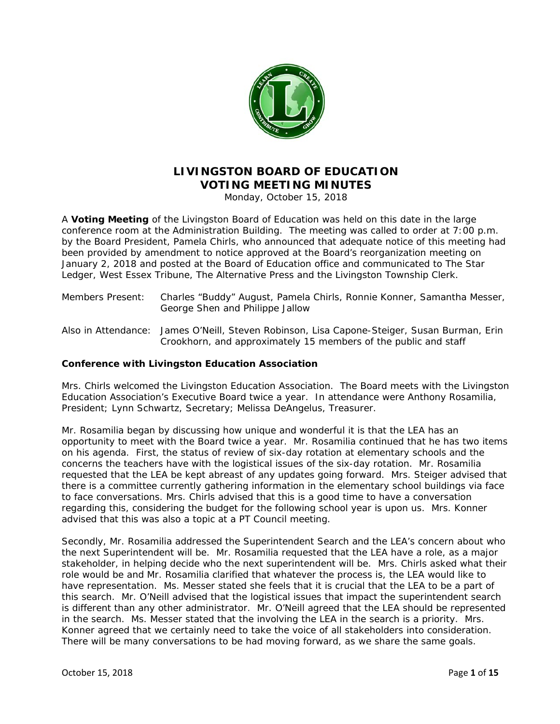

# **LIVINGSTON BOARD OF EDUCATION VOTING MEETING MINUTES**

Monday, October 15, 2018

A **Voting Meeting** of the Livingston Board of Education was held on this date in the large conference room at the Administration Building. The meeting was called to order at 7:00 p.m. by the Board President, Pamela Chirls, who announced that adequate notice of this meeting had been provided by amendment to notice approved at the Board's reorganization meeting on January 2, 2018 and posted at the Board of Education office and communicated to T*he Star Ledger, West Essex Tribune, The Alternative Press* and the Livingston Township Clerk.

- Members Present: Charles "Buddy" August, Pamela Chirls, Ronnie Konner, Samantha Messer, George Shen and Philippe Jallow
- Also in Attendance: James O'Neill, Steven Robinson, Lisa Capone-Steiger, Susan Burman, Erin Crookhorn, and approximately 15 members of the public and staff

## **Conference with Livingston Education Association**

Mrs. Chirls welcomed the Livingston Education Association. The Board meets with the Livingston Education Association's Executive Board twice a year. In attendance were Anthony Rosamilia, President; Lynn Schwartz, Secretary; Melissa DeAngelus, Treasurer.

Mr. Rosamilia began by discussing how unique and wonderful it is that the LEA has an opportunity to meet with the Board twice a year. Mr. Rosamilia continued that he has two items on his agenda. First, the status of review of six-day rotation at elementary schools and the concerns the teachers have with the logistical issues of the six-day rotation. Mr. Rosamilia requested that the LEA be kept abreast of any updates going forward. Mrs. Steiger advised that there is a committee currently gathering information in the elementary school buildings via face to face conversations. Mrs. Chirls advised that this is a good time to have a conversation regarding this, considering the budget for the following school year is upon us. Mrs. Konner advised that this was also a topic at a PT Council meeting.

Secondly, Mr. Rosamilia addressed the Superintendent Search and the LEA's concern about who the next Superintendent will be. Mr. Rosamilia requested that the LEA have a role, as a major stakeholder, in helping decide who the next superintendent will be. Mrs. Chirls asked what their role would be and Mr. Rosamilia clarified that whatever the process is, the LEA would like to have representation. Ms. Messer stated she feels that it is crucial that the LEA to be a part of this search. Mr. O'Neill advised that the logistical issues that impact the superintendent search is different than any other administrator. Mr. O'Neill agreed that the LEA should be represented in the search. Ms. Messer stated that the involving the LEA in the search is a priority. Mrs. Konner agreed that we certainly need to take the voice of all stakeholders into consideration. There will be many conversations to be had moving forward, as we share the same goals.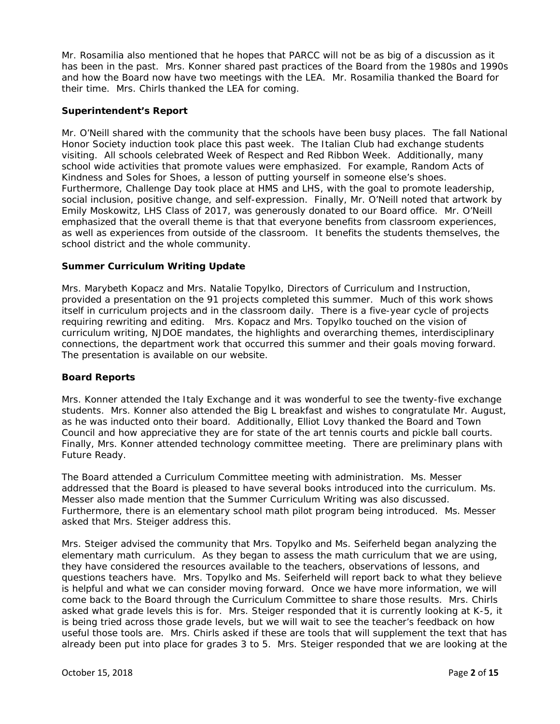Mr. Rosamilia also mentioned that he hopes that PARCC will not be as big of a discussion as it has been in the past. Mrs. Konner shared past practices of the Board from the 1980s and 1990s and how the Board now have two meetings with the LEA. Mr. Rosamilia thanked the Board for their time. Mrs. Chirls thanked the LEA for coming.

#### **Superintendent's Report**

Mr. O'Neill shared with the community that the schools have been busy places. The fall National Honor Society induction took place this past week. The Italian Club had exchange students visiting. All schools celebrated Week of Respect and Red Ribbon Week. Additionally, many school wide activities that promote values were emphasized. For example, Random Acts of Kindness and Soles for Shoes, a lesson of putting yourself in someone else's shoes*.*  Furthermore, Challenge Day took place at HMS and LHS, with the goal to promote leadership, social inclusion, positive change, and self-expression. Finally, Mr. O'Neill noted that artwork by Emily Moskowitz, LHS Class of 2017, was generously donated to our Board office. Mr. O'Neill emphasized that the overall theme is that that everyone benefits from classroom experiences, as well as experiences from outside of the classroom. It benefits the students themselves, the school district and the whole community.

#### **Summer Curriculum Writing Update**

Mrs. Marybeth Kopacz and Mrs. Natalie Topylko, Directors of Curriculum and Instruction, provided a presentation on the 91 projects completed this summer. Much of this work shows itself in curriculum projects and in the classroom daily. There is a five-year cycle of projects requiring rewriting and editing. Mrs. Kopacz and Mrs. Topylko touched on the vision of curriculum writing, NJDOE mandates, the highlights and overarching themes, interdisciplinary connections, the department work that occurred this summer and their goals moving forward. The presentation is available on our website.

#### **Board Reports**

Mrs. Konner attended the Italy Exchange and it was wonderful to see the twenty-five exchange students. Mrs. Konner also attended the Big L breakfast and wishes to congratulate Mr. August, as he was inducted onto their board. Additionally, Elliot Lovy thanked the Board and Town Council and how appreciative they are for state of the art tennis courts and pickle ball courts. Finally, Mrs. Konner attended technology committee meeting. There are preliminary plans with Future Ready.

The Board attended a Curriculum Committee meeting with administration. Ms. Messer addressed that the Board is pleased to have several books introduced into the curriculum. Ms. Messer also made mention that the Summer Curriculum Writing was also discussed. Furthermore, there is an elementary school math pilot program being introduced. Ms. Messer asked that Mrs. Steiger address this.

Mrs. Steiger advised the community that Mrs. Topylko and Ms. Seiferheld began analyzing the elementary math curriculum. As they began to assess the math curriculum that we are using, they have considered the resources available to the teachers, observations of lessons, and questions teachers have. Mrs. Topylko and Ms. Seiferheld will report back to what they believe is helpful and what we can consider moving forward. Once we have more information, we will come back to the Board through the Curriculum Committee to share those results. Mrs. Chirls asked what grade levels this is for. Mrs. Steiger responded that it is currently looking at K-5, it is being tried across those grade levels, but we will wait to see the teacher's feedback on how useful those tools are. Mrs. Chirls asked if these are tools that will supplement the text that has already been put into place for grades 3 to 5. Mrs. Steiger responded that we are looking at the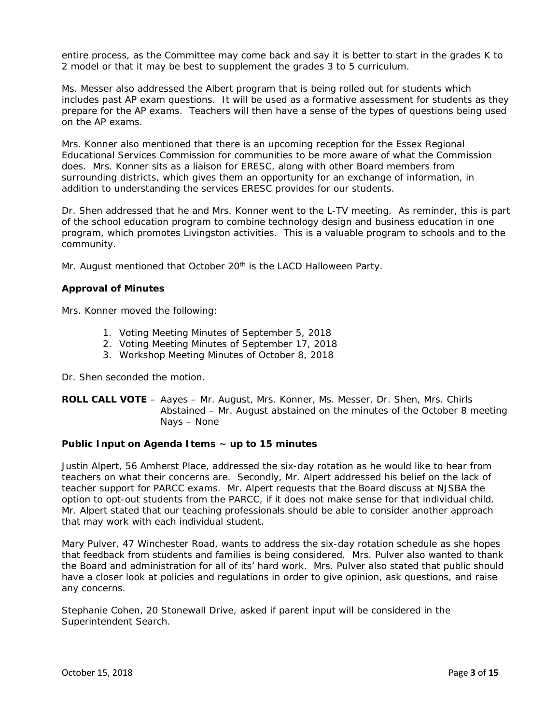entire process, as the Committee may come back and say it is better to start in the grades K to 2 model or that it may be best to supplement the grades 3 to 5 curriculum.

Ms. Messer also addressed the Albert program that is being rolled out for students which includes past AP exam questions. It will be used as a formative assessment for students as they prepare for the AP exams. Teachers will then have a sense of the types of questions being used on the AP exams.

Mrs. Konner also mentioned that there is an upcoming reception for the Essex Regional Educational Services Commission for communities to be more aware of what the Commission does. Mrs. Konner sits as a liaison for ERESC, along with other Board members from surrounding districts, which gives them an opportunity for an exchange of information, in addition to understanding the services ERESC provides for our students.

Dr. Shen addressed that he and Mrs. Konner went to the L-TV meeting. As reminder, this is part of the school education program to combine technology design and business education in one program, which promotes Livingston activities. This is a valuable program to schools and to the community.

Mr. August mentioned that October 20<sup>th</sup> is the LACD Halloween Party.

#### **Approval of Minutes**

Mrs. Konner moved the following:

- 1. Voting Meeting Minutes of September 5, 2018
- 2. Voting Meeting Minutes of September 17, 2018
- 3. Workshop Meeting Minutes of October 8, 2018

Dr. Shen seconded the motion.

#### **ROLL CALL VOTE** – Aayes – Mr. August, Mrs. Konner, Ms. Messer, Dr. Shen, Mrs. Chirls Abstained – Mr. August abstained on the minutes of the October 8 meeting Nays – None

#### **Public Input on Agenda Items ~ up to 15 minutes**

Justin Alpert, 56 Amherst Place, addressed the six-day rotation as he would like to hear from teachers on what their concerns are. Secondly, Mr. Alpert addressed his belief on the lack of teacher support for PARCC exams. Mr. Alpert requests that the Board discuss at NJSBA the option to opt-out students from the PARCC, if it does not make sense for that individual child. Mr. Alpert stated that our teaching professionals should be able to consider another approach that may work with each individual student.

Mary Pulver, 47 Winchester Road, wants to address the six-day rotation schedule as she hopes that feedback from students and families is being considered. Mrs. Pulver also wanted to thank the Board and administration for all of its' hard work. Mrs. Pulver also stated that public should have a closer look at policies and regulations in order to give opinion, ask questions, and raise any concerns.

Stephanie Cohen, 20 Stonewall Drive, asked if parent input will be considered in the Superintendent Search.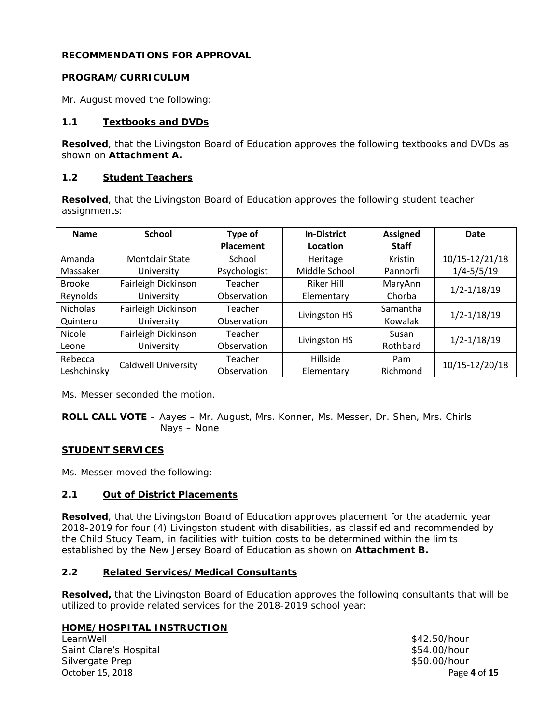## **RECOMMENDATIONS FOR APPROVAL**

## **PROGRAM/CURRICULUM**

Mr. August moved the following:

## **1.1 Textbooks and DVDs**

**Resolved**, that the Livingston Board of Education approves the following textbooks and DVDs as shown on *Attachment A.* 

## **1.2 Student Teachers**

**Resolved**, that the Livingston Board of Education approves the following student teacher assignments:

| <b>Name</b>     | <b>School</b>              | Type of                          | <b>In-District</b> | <b>Assigned</b> | Date            |
|-----------------|----------------------------|----------------------------------|--------------------|-----------------|-----------------|
|                 |                            | <b>Placement</b>                 | Location           | <b>Staff</b>    |                 |
| Amanda          | <b>Montclair State</b>     | School                           | Heritage           | Kristin         | 10/15-12/21/18  |
| Massaker        | University                 | Psychologist                     | Middle School      | Pannorfi        | $1/4 - 5/5/19$  |
| <b>Brooke</b>   | Fairleigh Dickinson        | Teacher<br>Riker Hill<br>MaryAnn |                    |                 |                 |
| Reynolds        | University                 | Observation                      | Elementary         | Chorba          | $1/2 - 1/18/19$ |
| <b>Nicholas</b> | Fairleigh Dickinson        | Teacher                          | Livingston HS      | Samantha        | $1/2 - 1/18/19$ |
| Quintero        | University                 | Observation                      |                    | Kowalak         |                 |
| <b>Nicole</b>   | Fairleigh Dickinson        | Teacher                          | Livingston HS      | Susan           | $1/2 - 1/18/19$ |
| Leone           | University                 | Observation                      |                    | Rothbard        |                 |
| Rebecca         | <b>Caldwell University</b> | Teacher                          | Hillside           | Pam             | 10/15-12/20/18  |
| Leshchinsky     |                            | Observation                      | Elementary         | Richmond        |                 |

Ms. Messer seconded the motion.

**ROLL CALL VOTE** – Aayes – Mr. August, Mrs. Konner, Ms. Messer, Dr. Shen, Mrs. Chirls Nays – None

## **STUDENT SERVICES**

Ms. Messer moved the following:

# **2.1 Out of District Placements**

**Resolved**, that the Livingston Board of Education approves placement for the academic year 2018-2019 for four (4) Livingston student with disabilities, as classified and recommended by the Child Study Team, in facilities with tuition costs to be determined within the limits established by the New Jersey Board of Education as shown on *Attachment B.* 

# **2.2 Related Services/Medical Consultants**

**Resolved,** that the Livingston Board of Education approves the following consultants that will be utilized to provide related services for the 2018-2019 school year:

# **HOME/HOSPITAL INSTRUCTION**

October 15, 2018 Page **4** of **15** LearnWell \$42.50/hour Saint Clare's Hospital  $$54.00/h$ our Silvergate Prep \$50.00/hour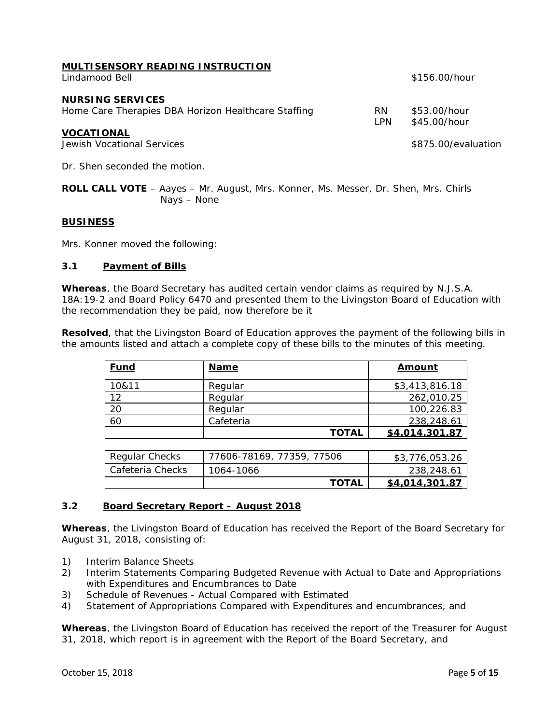|                | MULTISENSORY READING INSTRUCTION |  |
|----------------|----------------------------------|--|
| Lindamood Bell |                                  |  |

#### **NURSING SERVICES**

| Home Care Therapies DBA Horizon Healthcare Staffing | RN.<br>I PN | \$53.00/hour<br>\$45.00/hour |
|-----------------------------------------------------|-------------|------------------------------|
| VOCATIONAL                                          |             |                              |
| Jewish Vocational Services                          |             | \$875.00/evaluation          |

Dr. Shen seconded the motion.

**ROLL CALL VOTE** – Aayes – Mr. August, Mrs. Konner, Ms. Messer, Dr. Shen, Mrs. Chirls Nays – None

#### **BUSINESS**

Mrs. Konner moved the following:

#### **3.1 Payment of Bills**

**Whereas**, the Board Secretary has audited certain vendor claims as required by N.J.S.A. 18A:19-2 and Board Policy 6470 and presented them to the Livingston Board of Education with the recommendation they be paid, now therefore be it

**Resolved**, that the Livingston Board of Education approves the payment of the following bills in the amounts listed and attach a complete copy of these bills to the minutes of this meeting.

| <b>Fund</b> | <b>Name</b>  | Amount         |
|-------------|--------------|----------------|
| 10&11       | Regular      | \$3,413,816.18 |
| 12          | Regular      | 262,010.25     |
| 20          | Regular      | 100,226.83     |
| 60          | Cafeteria    | 238,248.61     |
|             | <b>TOTAL</b> | \$4,014,301.87 |

| Regular Checks   | 77606-78169, 77359, 77506 | \$3,776,053.26 |
|------------------|---------------------------|----------------|
| Cafeteria Checks | 1064-1066                 | 238,248.61     |
|                  | <b>TOTAL</b>              | \$4,014,301.87 |

#### **3.2 Board Secretary Report – August 2018**

**Whereas**, the Livingston Board of Education has received the Report of the Board Secretary for August 31, 2018, consisting of:

- 1) Interim Balance Sheets
- 2) Interim Statements Comparing Budgeted Revenue with Actual to Date and Appropriations with Expenditures and Encumbrances to Date
- 3) Schedule of Revenues Actual Compared with Estimated
- 4) Statement of Appropriations Compared with Expenditures and encumbrances, and

**Whereas**, the Livingston Board of Education has received the report of the Treasurer for August 31, 2018, which report is in agreement with the Report of the Board Secretary, and

\$156.00/hour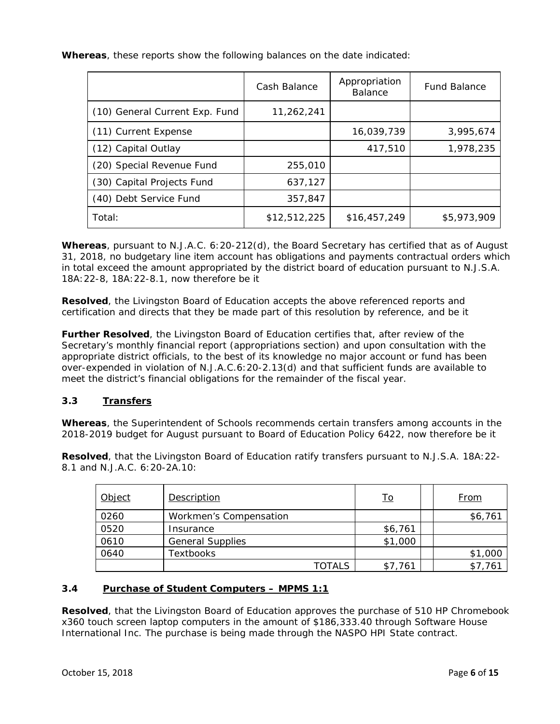**Whereas**, these reports show the following balances on the date indicated:

|                                | Cash Balance | Appropriation<br><b>Balance</b> | <b>Fund Balance</b> |
|--------------------------------|--------------|---------------------------------|---------------------|
| (10) General Current Exp. Fund | 11,262,241   |                                 |                     |
| (11) Current Expense           |              | 16,039,739                      | 3,995,674           |
| (12) Capital Outlay            |              | 417,510                         | 1,978,235           |
| (20) Special Revenue Fund      | 255,010      |                                 |                     |
| (30) Capital Projects Fund     | 637,127      |                                 |                     |
| (40) Debt Service Fund         | 357,847      |                                 |                     |
| Total:                         | \$12,512,225 | \$16,457,249                    | \$5,973,909         |

**Whereas**, pursuant to N.J.A.C. 6:20-212(d), the Board Secretary has certified that as of August 31, 2018, no budgetary line item account has obligations and payments contractual orders which in total exceed the amount appropriated by the district board of education pursuant to N.J.S.A. 18A:22-8, 18A:22-8.1, now therefore be it

**Resolved**, the Livingston Board of Education accepts the above referenced reports and certification and directs that they be made part of this resolution by reference, and be it

**Further Resolved**, the Livingston Board of Education certifies that, after review of the Secretary's monthly financial report (appropriations section) and upon consultation with the appropriate district officials, to the best of its knowledge no major account or fund has been over-expended in violation of N.J.A.C.6:20-2.13(d) and that sufficient funds are available to meet the district's financial obligations for the remainder of the fiscal year.

## **3.3 Transfers**

**Whereas**, the Superintendent of Schools recommends certain transfers among accounts in the 2018-2019 budget for August pursuant to Board of Education Policy 6422, now therefore be it

**Resolved**, that the Livingston Board of Education ratify transfers pursuant to N.J.S.A. 18A:22- 8.1 and N.J.A.C. 6:20-2A.10:

| Object | Description             | <u>To</u> | <u>From</u> |
|--------|-------------------------|-----------|-------------|
| 0260   | Workmen's Compensation  |           | \$6,761     |
| 0520   | Insurance               | \$6,761   |             |
| 0610   | <b>General Supplies</b> | \$1,000   |             |
| 0640   | Textbooks               |           | \$1,000     |
|        | TOTALS                  | \$7,761   | \$7,761     |

# **3.4 Purchase of Student Computers – MPMS 1:1**

 **Resolved**, that the Livingston Board of Education approves the purchase of 510 HP Chromebook x360 touch screen laptop computers in the amount of \$186,333.40 through Software House International Inc. The purchase is being made through the NASPO HPI State contract.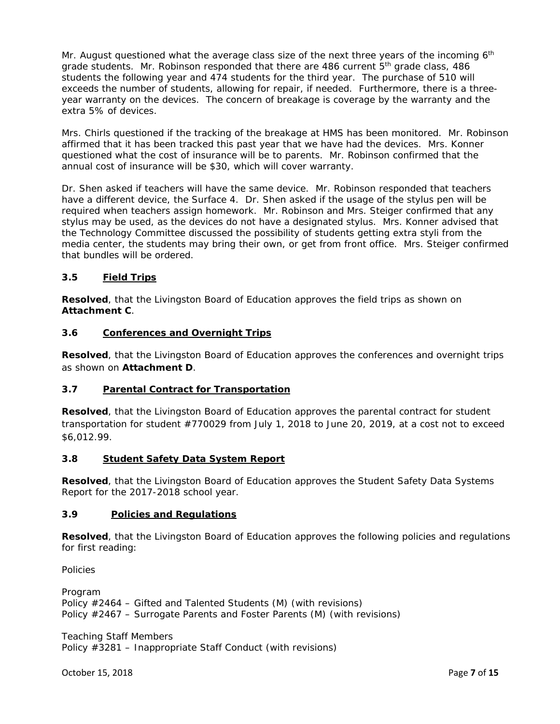Mr. August questioned what the average class size of the next three years of the incoming  $6<sup>th</sup>$ grade students. Mr. Robinson responded that there are 486 current  $5<sup>th</sup>$  grade class, 486 students the following year and 474 students for the third year. The purchase of 510 will exceeds the number of students, allowing for repair, if needed. Furthermore, there is a threeyear warranty on the devices. The concern of breakage is coverage by the warranty and the extra 5% of devices.

Mrs. Chirls questioned if the tracking of the breakage at HMS has been monitored. Mr. Robinson affirmed that it has been tracked this past year that we have had the devices. Mrs. Konner questioned what the cost of insurance will be to parents. Mr. Robinson confirmed that the annual cost of insurance will be \$30, which will cover warranty.

Dr. Shen asked if teachers will have the same device. Mr. Robinson responded that teachers have a different device, the Surface 4. Dr. Shen asked if the usage of the stylus pen will be required when teachers assign homework. Mr. Robinson and Mrs. Steiger confirmed that any stylus may be used, as the devices do not have a designated stylus. Mrs. Konner advised that the Technology Committee discussed the possibility of students getting extra styli from the media center, the students may bring their own, or get from front office. Mrs. Steiger confirmed that bundles will be ordered.

# **3.5 Field Trips**

**Resolved**, that the Livingston Board of Education approves the field trips as shown on *Attachment C.* 

#### **3.6 Conferences and Overnight Trips**

**Resolved**, that the Livingston Board of Education approves the conferences and overnight trips as shown on *Attachment D.* 

## **3.7 Parental Contract for Transportation**

**Resolved**, that the Livingston Board of Education approves the parental contract for student transportation for student #770029 from July 1, 2018 to June 20, 2019, at a cost not to exceed \$6,012.99.

#### **3.8 Student Safety Data System Report**

 **Resolved**, that the Livingston Board of Education approves the Student Safety Data Systems Report for the 2017-2018 school year.

#### **3.9 Policies and Regulations**

**Resolved**, that the Livingston Board of Education approves the following policies and regulations for first reading:

*Policies* 

*Program*  Policy #2464 – Gifted and Talented Students (M) (with revisions) Policy #2467 – Surrogate Parents and Foster Parents (M) (with revisions)

*Teaching Staff Members*  Policy #3281 – Inappropriate Staff Conduct (with revisions)

October 15, 2018 Page **7** of **15**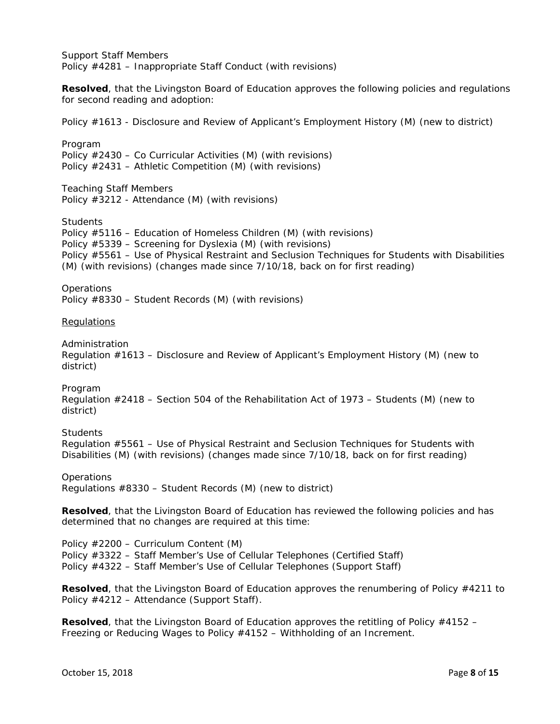*Support Staff Members*  Policy #4281 – Inappropriate Staff Conduct (with revisions)

**Resolved**, that the Livingston Board of Education approves the following policies and regulations for second reading and adoption:

Policy #1613 - Disclosure and Review of Applicant's Employment History (M) (new to district)

*Program*  Policy #2430 – Co Curricular Activities (M) (with revisions) Policy #2431 – Athletic Competition (M) (with revisions)

*Teaching Staff Members*  Policy #3212 *-* Attendance (M) (with revisions)

*Students* 

Policy #5116 – Education of Homeless Children (M) (with revisions) Policy #5339 – Screening for Dyslexia (M) (with revisions) Policy #5561 – Use of Physical Restraint and Seclusion Techniques for Students with Disabilities (M) (with revisions) (changes made since 7/10/18, back on for first reading)

*Operations* 

Policy #8330 – Student Records (M) (with revisions)

#### **Requlations**

*Administration* 

Regulation #1613 – Disclosure and Review of Applicant's Employment History (M) (new to district)

*Program* 

Regulation #2418 – Section 504 of the Rehabilitation Act of 1973 – Students (M) (new to district)

*Students* 

Regulation #5561 – Use of Physical Restraint and Seclusion Techniques for Students with Disabilities (M) (with revisions) (changes made since 7/10/18, back on for first reading)

*Operations* 

Regulations #8330 – Student Records (M) (new to district)

**Resolved**, that the Livingston Board of Education has reviewed the following policies and has determined that no changes are required at this time:

Policy #2200 – Curriculum Content (M) Policy #3322 – Staff Member's Use of Cellular Telephones (Certified Staff) Policy #4322 – Staff Member's Use of Cellular Telephones (Support Staff)

**Resolved**, that the Livingston Board of Education approves the renumbering of Policy #4211 to Policy #4212 – Attendance (Support Staff).

**Resolved**, that the Livingston Board of Education approves the retitling of Policy #4152 – Freezing or Reducing Wages to Policy #4152 – Withholding of an Increment.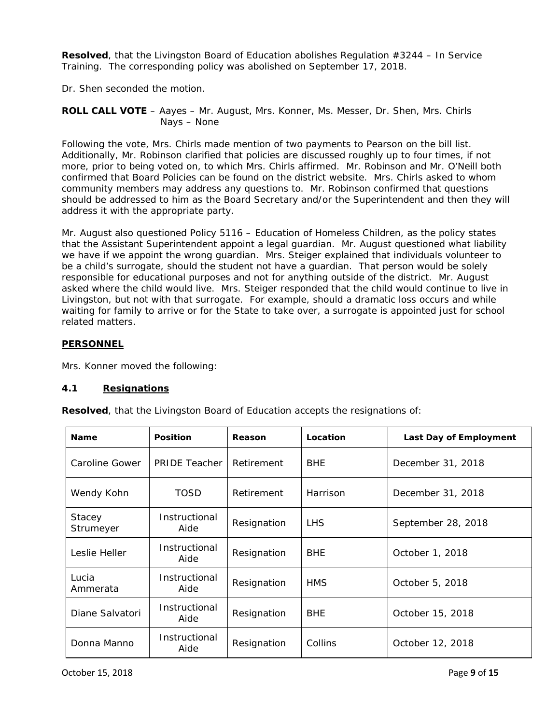**Resolved**, that the Livingston Board of Education abolishes Regulation #3244 – In Service Training. The corresponding policy was abolished on September 17, 2018.

Dr. Shen seconded the motion.

**ROLL CALL VOTE** – Aayes – Mr. August, Mrs. Konner, Ms. Messer, Dr. Shen, Mrs. Chirls Nays – None

Following the vote, Mrs. Chirls made mention of two payments to Pearson on the bill list. Additionally, Mr. Robinson clarified that policies are discussed roughly up to four times, if not more, prior to being voted on, to which Mrs. Chirls affirmed. Mr. Robinson and Mr. O'Neill both confirmed that Board Policies can be found on the district website. Mrs. Chirls asked to whom community members may address any questions to. Mr. Robinson confirmed that questions should be addressed to him as the Board Secretary and/or the Superintendent and then they will address it with the appropriate party.

Mr. August also questioned Policy 5116 – Education of Homeless Children, as the policy states that the Assistant Superintendent appoint a legal guardian. Mr. August questioned what liability we have if we appoint the wrong guardian. Mrs. Steiger explained that individuals volunteer to be a child's surrogate, should the student not have a guardian. That person would be solely responsible for educational purposes and not for anything outside of the district. Mr. August asked where the child would live. Mrs. Steiger responded that the child would continue to live in Livingston, but not with that surrogate. For example, should a dramatic loss occurs and while waiting for family to arrive or for the State to take over, a surrogate is appointed just for school related matters.

## **PERSONNEL**

Mrs. Konner moved the following:

## **4.1 Resignations**

**Resolved**, that the Livingston Board of Education accepts the resignations of:

| <b>Name</b>                | <b>Position</b>       | Reason      | Location   | Last Day of Employment |
|----------------------------|-----------------------|-------------|------------|------------------------|
| Caroline Gower             | <b>PRIDE Teacher</b>  | Retirement  | <b>BHE</b> | December 31, 2018      |
| Wendy Kohn                 | TOSD                  | Retirement  | Harrison   | December 31, 2018      |
| <b>Stacey</b><br>Strumeyer | Instructional<br>Aide | Resignation | <b>LHS</b> | September 28, 2018     |
| <i>Leslie Heller</i>       | Instructional<br>Aide | Resignation | <b>BHE</b> | October 1, 2018        |
| Lucia<br>Ammerata          | Instructional<br>Aide | Resignation | <b>HMS</b> | October 5, 2018        |
| Diane Salvatori            | Instructional<br>Aide | Resignation | <b>BHE</b> | October 15, 2018       |
| Donna Manno                | Instructional<br>Aide | Resignation | Collins    | October 12, 2018       |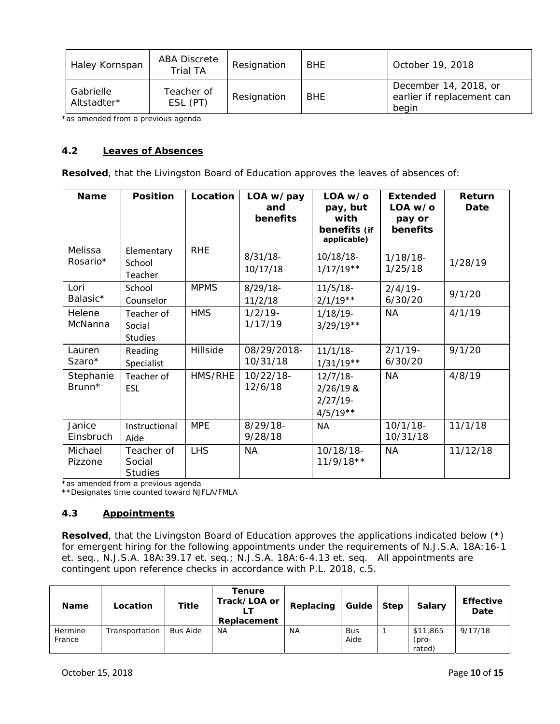| Haley Kornspan           | <b>ABA Discrete</b><br>Trial TA | Resignation | <b>BHE</b> | October 19, 2018                                             |
|--------------------------|---------------------------------|-------------|------------|--------------------------------------------------------------|
| Gabrielle<br>Altstadter* | Teacher of<br>ESL (PT)          | Resignation | <b>BHE</b> | December 14, 2018, or<br>earlier if replacement can<br>begin |

*\*as amended from a previous agenda* 

## **4.2 Leaves of Absences**

**Resolved**, that the Livingston Board of Education approves the leaves of absences of:

| <b>Name</b>           | <b>Position</b>                        | Location    | LOA w/pay<br>and<br>benefits | $LOA$ w/o<br>pay, but<br>with<br>benefits (if<br>applicable) | Extended<br>LOA w/o<br>pay or<br>benefits | Return<br>Date |
|-----------------------|----------------------------------------|-------------|------------------------------|--------------------------------------------------------------|-------------------------------------------|----------------|
| Melissa<br>Rosario*   | Elementary<br>School<br>Teacher        | <b>RHE</b>  | $8/31/18$ -<br>10/17/18      | $10/18/18$ -<br>$1/17/19**$                                  | $1/18/18$ -<br>1/25/18                    | 1/28/19        |
| Lori<br>Balasic*      | School<br>Counselor                    | <b>MPMS</b> | $8/29/18$ -<br>11/2/18       | $11/5/18$ -<br>$2/1/19**$                                    | $2/4/19$ -<br>6/30/20                     | 9/1/20         |
| Helene<br>McNanna     | Teacher of<br>Social<br><b>Studies</b> | <b>HMS</b>  | $1/2/19$ -<br>1/17/19        | $1/18/19$ -<br>$3/29/19**$                                   | <b>NA</b>                                 | 4/1/19         |
| Lauren<br>$Szaro*$    | Reading<br>Specialist                  | Hillside    | 08/29/2018-<br>10/31/18      | 11/1/18<br>$1/31/19**$                                       | $2/1/19$ -<br>6/30/20                     | 9/1/20         |
| Stephanie<br>$Brunn*$ | Teacher of<br><b>ESL</b>               | HMS/RHE     | 10/22/18-<br>12/6/18         | $12/7/18$ -<br>$2/26/19$ &<br>$2/27/19-$<br>$4/5/19**$       | <b>NA</b>                                 | 4/8/19         |
| Janice<br>Einsbruch   | Instructional<br>Aide                  | <b>MPE</b>  | $8/29/18 -$<br>9/28/18       | <b>NA</b>                                                    | $10/1/18$ -<br>10/31/18                   | 11/1/18        |
| Michael<br>Pizzone    | Teacher of<br>Social<br><b>Studies</b> | <b>LHS</b>  | ΝA                           | 10/18/18-<br>$11/9/18**$                                     | <b>NA</b>                                 | 11/12/18       |

*\*as amended from a previous agenda* 

*\*\*Designates time counted toward NJFLA/FMLA* 

## **4.3 Appointments**

**Resolved**, that the Livingston Board of Education approves the applications indicated below (\*) for emergent hiring for the following appointments under the requirements of N.J.S.A. 18A:16-1 et. seq., N.J.S.A. 18A:39.17 et. seq.; N.J.S.A. 18A:6-4.13 et. seq. All appointments are contingent upon reference checks in accordance with P.L. 2018, c.5.

| <b>Name</b>       | Location       | Title           | Tenure<br>Track/LOA or<br>Replacement | Replacing | Guide              | <b>Step</b> | <b>Salary</b>               | <b>Effective</b><br>Date |
|-------------------|----------------|-----------------|---------------------------------------|-----------|--------------------|-------------|-----------------------------|--------------------------|
| Hermine<br>France | Transportation | <b>Bus Aide</b> | <b>NA</b>                             | <b>NA</b> | <b>Bus</b><br>Aide |             | \$11,865<br>(pro-<br>rated) | 9/17/18                  |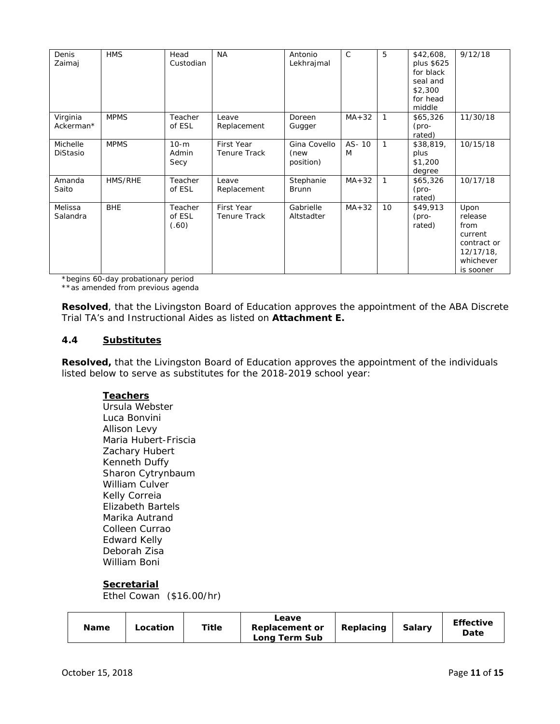| Denis<br>Zaimaj             | <b>HMS</b>  | Head<br>Custodian          | <b>NA</b>                         | Antonio<br>Lekhrajmal             | $\mathcal{C}$ | 5               | \$42,608,<br>plus \$625<br>for black<br>seal and<br>\$2,300<br>for head<br>middle | 9/12/18                                                                                     |
|-----------------------------|-------------|----------------------------|-----------------------------------|-----------------------------------|---------------|-----------------|-----------------------------------------------------------------------------------|---------------------------------------------------------------------------------------------|
| Virginia<br>Ackerman*       | <b>MPMS</b> | Teacher<br>of ESL          | Leave<br>Replacement              | Doreen<br>Gugger                  | $MA + 32$     | 1               | \$65,326<br>$(pro-$<br>rated)                                                     | 11/30/18                                                                                    |
| Michelle<br><b>DiStasio</b> | <b>MPMS</b> | $10-m$<br>Admin<br>Secy    | First Year<br><b>Tenure Track</b> | Gina Covello<br>(new<br>position) | AS-10<br>M    | $\mathbf{1}$    | \$38,819,<br>plus<br>\$1,200<br>degree                                            | 10/15/18                                                                                    |
| Amanda<br>Saito             | HMS/RHE     | Teacher<br>of ESL          | Leave<br>Replacement              | Stephanie<br><b>Brunn</b>         | $MA + 32$     | $\mathbf{1}$    | \$65,326<br>$(pro-$<br>rated)                                                     | 10/17/18                                                                                    |
| Melissa<br>Salandra         | <b>BHE</b>  | Teacher<br>of ESL<br>(.60) | First Year<br><b>Tenure Track</b> | Gabrielle<br>Altstadter           | $MA + 32$     | 10 <sup>°</sup> | \$49,913<br>$(pro-$<br>rated)                                                     | Upon<br>release<br>from<br>current<br>contract or<br>$12/17/18$ ,<br>whichever<br>is sooner |

*\*begins 60-day probationary period \*\*as amended from previous agenda* 

**Resolved**, that the Livingston Board of Education approves the appointment of the ABA Discrete Trial TA's and Instructional Aides as listed on *Attachment E.* 

## **4.4 Substitutes**

**Resolved,** that the Livingston Board of Education approves the appointment of the individuals listed below to serve as substitutes for the 2018-2019 school year:

## **Teachers**

*Ursula Webster Luca Bonvini Allison Levy Maria Hubert-Friscia Zachary Hubert Kenneth Duffy Sharon Cytrynbaum William Culver Kelly Correia Elizabeth Bartels Marika Autrand Colleen Currao Edward Kelly Deborah Zisa William Boni* 

## **Secretarial**

*Ethel Cowan (\$16.00/hr)*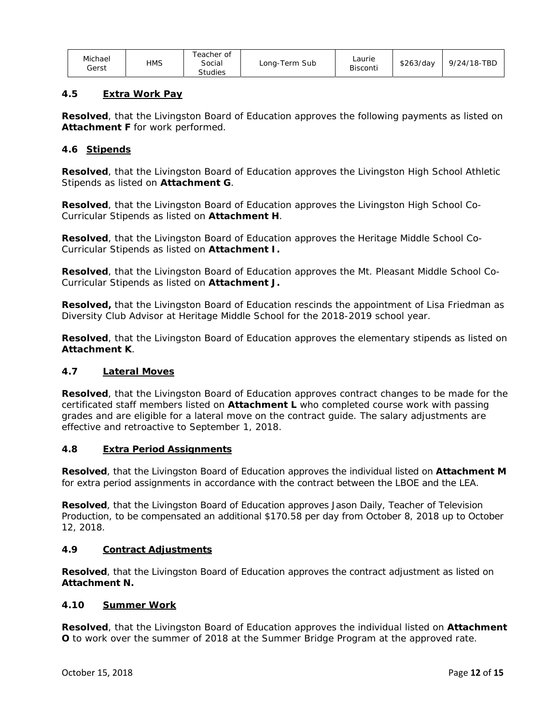| Michael<br>Gerst | HMS | Геасһег of<br>Social<br><b>Studies</b> | Long-Term Sub | ∟aurie<br><b>Bisconti</b> | \$263/dav | 9/24/18-TBD |
|------------------|-----|----------------------------------------|---------------|---------------------------|-----------|-------------|
|------------------|-----|----------------------------------------|---------------|---------------------------|-----------|-------------|

## **4.5 Extra Work Pay**

**Resolved**, that the Livingston Board of Education approves the following payments as listed on *Attachment F* for work performed.

## **4.6 Stipends**

**Resolved**, that the Livingston Board of Education approves the Livingston High School Athletic Stipends as listed on *Attachment G*.

**Resolved**, that the Livingston Board of Education approves the Livingston High School Co-Curricular Stipends as listed on *Attachment H*.

**Resolved**, that the Livingston Board of Education approves the Heritage Middle School Co-Curricular Stipends as listed on *Attachment I.* 

**Resolved**, that the Livingston Board of Education approves the Mt. Pleasant Middle School Co-Curricular Stipends as listed on *Attachment J.* 

**Resolved,** that the Livingston Board of Education rescinds the appointment of *Lisa Friedman* as Diversity Club Advisor at Heritage Middle School for the 2018-2019 school year.

**Resolved**, that the Livingston Board of Education approves the elementary stipends as listed on *Attachment K*.

## **4.7 Lateral Moves**

**Resolved**, that the Livingston Board of Education approves contract changes to be made for the certificated staff members listed on *Attachment L* who completed course work with passing grades and are eligible for a lateral move on the contract guide. The salary adjustments are effective and retroactive to September 1, 2018.

## **4.8 Extra Period Assignments**

**Resolved**, that the Livingston Board of Education approves the individual listed on *Attachment M*  for extra period assignments in accordance with the contract between the LBOE and the LEA.

**Resolved**, that the Livingston Board of Education approves *Jason Daily*, Teacher of Television Production, to be compensated an additional \$170.58 per day from October 8, 2018 up to October 12, 2018.

## **4.9 Contract Adjustments**

**Resolved**, that the Livingston Board of Education approves the contract adjustment as listed on *Attachment N.*

## **4.10 Summer Work**

**Resolved**, that the Livingston Board of Education approves the individual listed on *Attachment O* to work over the summer of 2018 at the Summer Bridge Program at the approved rate.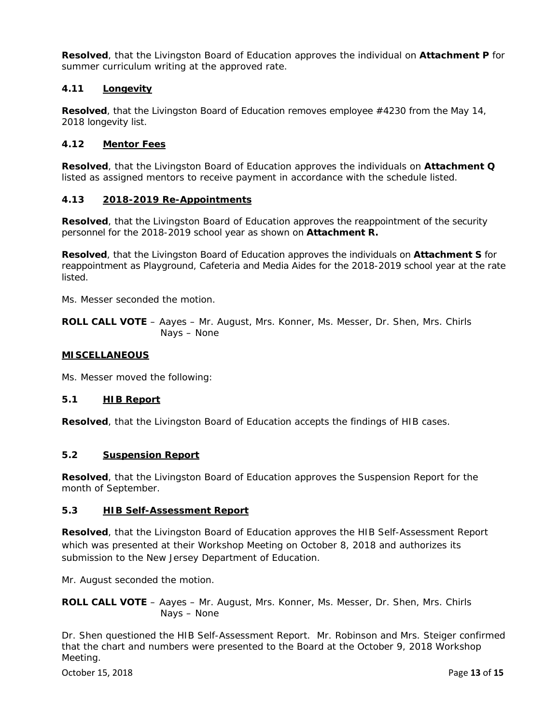**Resolved**, that the Livingston Board of Education approves the individual on *Attachment P* for summer curriculum writing at the approved rate.

## **4.11 Longevity**

**Resolved**, that the Livingston Board of Education removes employee #4230 from the May 14, 2018 longevity list.

#### **4.12 Mentor Fees**

**Resolved**, that the Livingston Board of Education approves the individuals on *Attachment Q*  listed as assigned mentors to receive payment in accordance with the schedule listed.

#### **4.13 2018-2019 Re-Appointments**

**Resolved**, that the Livingston Board of Education approves the reappointment of the security personnel for the 2018-2019 school year as shown on *Attachment R.* 

**Resolved**, that the Livingston Board of Education approves the individuals on *Attachment S* for reappointment as Playground, Cafeteria and Media Aides for the 2018-2019 school year at the rate listed.

Ms. Messer seconded the motion.

**ROLL CALL VOTE** – Aayes – Mr. August, Mrs. Konner, Ms. Messer, Dr. Shen, Mrs. Chirls Nays – None

#### **MISCELLANEOUS**

Ms. Messer moved the following:

## **5.1 HIB Report**

**Resolved**, that the Livingston Board of Education accepts the findings of HIB cases.

#### **5.2 Suspension Report**

**Resolved**, that the Livingston Board of Education approves the Suspension Report for the month of September.

#### **5.3 HIB Self-Assessment Report**

**Resolved**, that the Livingston Board of Education approves the HIB Self-Assessment Report which was presented at their Workshop Meeting on October 8, 2018 and authorizes its submission to the New Jersey Department of Education.

Mr. August seconded the motion.

**ROLL CALL VOTE** – Aayes – Mr. August, Mrs. Konner, Ms. Messer, Dr. Shen, Mrs. Chirls Nays – None

Dr. Shen questioned the HIB Self-Assessment Report. Mr. Robinson and Mrs. Steiger confirmed that the chart and numbers were presented to the Board at the October 9, 2018 Workshop Meeting.

October 15, 2018 Page **13** of **15**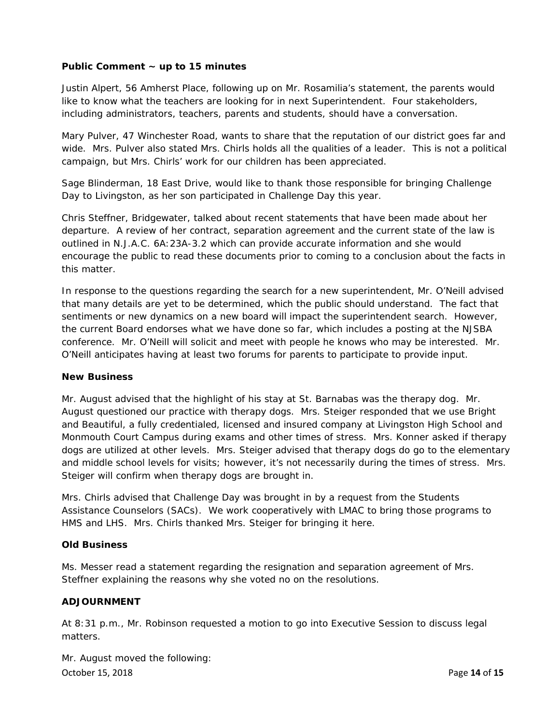## **Public Comment ~ up to 15 minutes**

Justin Alpert, 56 Amherst Place, following up on Mr. Rosamilia's statement, the parents would like to know what the teachers are looking for in next Superintendent. Four stakeholders, including administrators, teachers, parents and students, should have a conversation.

Mary Pulver, 47 Winchester Road, wants to share that the reputation of our district goes far and wide. Mrs. Pulver also stated Mrs. Chirls holds all the qualities of a leader. This is not a political campaign, but Mrs. Chirls' work for our children has been appreciated.

Sage Blinderman, 18 East Drive, would like to thank those responsible for bringing Challenge Day to Livingston, as her son participated in Challenge Day this year.

Chris Steffner, Bridgewater, talked about recent statements that have been made about her departure. A review of her contract, separation agreement and the current state of the law is outlined in N.J.A.C. 6A:23A-3.2 which can provide accurate information and she would encourage the public to read these documents prior to coming to a conclusion about the facts in this matter.

In response to the questions regarding the search for a new superintendent, Mr. O'Neill advised that many details are yet to be determined, which the public should understand. The fact that sentiments or new dynamics on a new board will impact the superintendent search. However, the current Board endorses what we have done so far, which includes a posting at the NJSBA conference. Mr. O'Neill will solicit and meet with people he knows who may be interested. Mr. O'Neill anticipates having at least two forums for parents to participate to provide input.

## **New Business**

Mr. August advised that the highlight of his stay at St. Barnabas was the therapy dog. Mr. August questioned our practice with therapy dogs. Mrs. Steiger responded that we use Bright and Beautiful, a fully credentialed, licensed and insured company at Livingston High School and Monmouth Court Campus during exams and other times of stress. Mrs. Konner asked if therapy dogs are utilized at other levels. Mrs. Steiger advised that therapy dogs do go to the elementary and middle school levels for visits; however, it's not necessarily during the times of stress. Mrs. Steiger will confirm when therapy dogs are brought in.

Mrs. Chirls advised that Challenge Day was brought in by a request from the Students Assistance Counselors (SACs). We work cooperatively with LMAC to bring those programs to HMS and LHS. Mrs. Chirls thanked Mrs. Steiger for bringing it here.

## **Old Business**

Ms. Messer read a statement regarding the resignation and separation agreement of Mrs. Steffner explaining the reasons why she voted no on the resolutions.

## **ADJOURNMENT**

At 8:31 p.m., Mr. Robinson requested a motion to go into Executive Session to discuss legal matters.

October 15, 2018 Page **14** of **15** Mr. August moved the following: